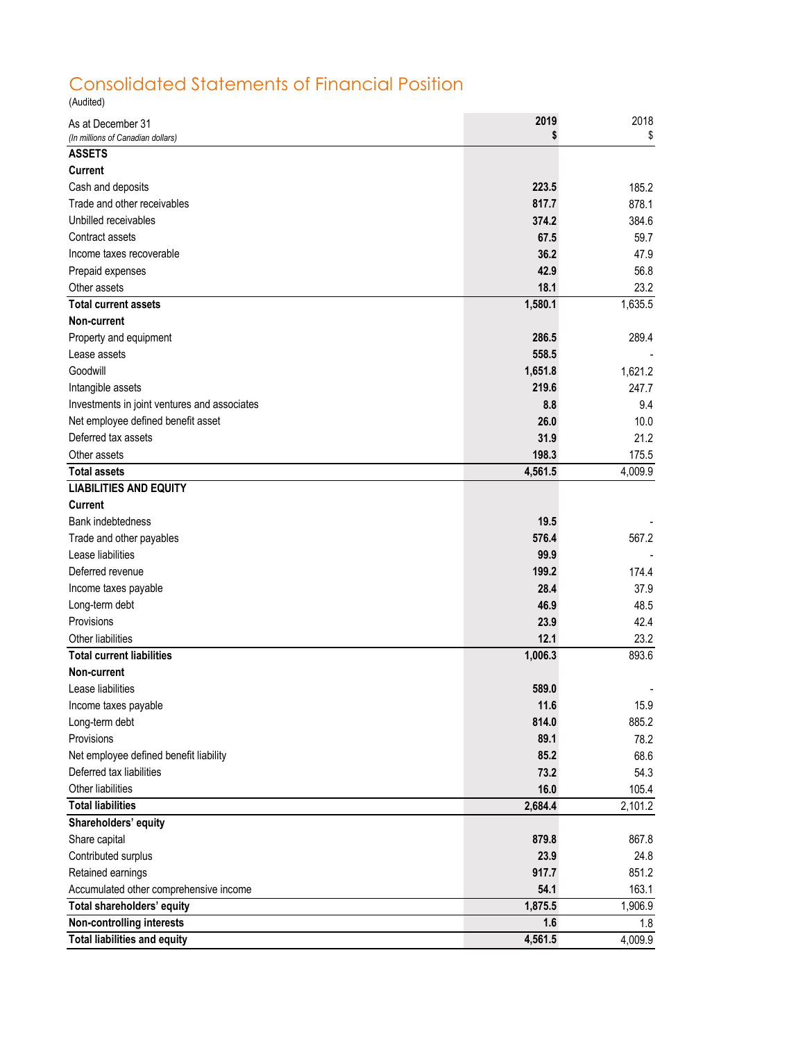## Consolidated Statements of Financial Position

(Audited)

| As at December 31                            | 2019    | 2018    |
|----------------------------------------------|---------|---------|
| (In millions of Canadian dollars)            | S       | \$      |
| <b>ASSETS</b>                                |         |         |
| <b>Current</b>                               |         |         |
| Cash and deposits                            | 223.5   | 185.2   |
| Trade and other receivables                  | 817.7   | 878.1   |
| Unbilled receivables                         | 374.2   | 384.6   |
| Contract assets                              | 67.5    | 59.7    |
| Income taxes recoverable                     | 36.2    | 47.9    |
| Prepaid expenses                             | 42.9    | 56.8    |
| Other assets                                 | 18.1    | 23.2    |
| <b>Total current assets</b>                  | 1,580.1 | 1,635.5 |
| Non-current                                  |         |         |
| Property and equipment                       | 286.5   | 289.4   |
| Lease assets                                 | 558.5   |         |
| Goodwill                                     | 1,651.8 | 1,621.2 |
| Intangible assets                            | 219.6   | 247.7   |
| Investments in joint ventures and associates | 8.8     | 9.4     |
| Net employee defined benefit asset           | 26.0    | 10.0    |
| Deferred tax assets                          | 31.9    | 21.2    |
| Other assets                                 | 198.3   | 175.5   |
| <b>Total assets</b>                          | 4,561.5 | 4,009.9 |
| <b>LIABILITIES AND EQUITY</b>                |         |         |
| Current                                      |         |         |
| <b>Bank indebtedness</b>                     | 19.5    |         |
| Trade and other payables                     | 576.4   | 567.2   |
| Lease liabilities                            | 99.9    |         |
| Deferred revenue                             | 199.2   | 174.4   |
| Income taxes payable                         | 28.4    | 37.9    |
| Long-term debt                               | 46.9    | 48.5    |
| Provisions                                   | 23.9    | 42.4    |
| Other liabilities                            | 12.1    | 23.2    |
| <b>Total current liabilities</b>             | 1,006.3 | 893.6   |
| Non-current                                  |         |         |
| Lease liabilities                            | 589.0   |         |
| Income taxes payable                         | 11.6    | 15.9    |
| Long-term debt                               | 814.0   | 885.2   |
| Provisions                                   | 89.1    | 78.2    |
| Net employee defined benefit liability       | 85.2    | 68.6    |
| Deferred tax liabilities                     | 73.2    | 54.3    |
| Other liabilities                            | 16.0    | 105.4   |
| <b>Total liabilities</b>                     | 2,684.4 | 2,101.2 |
| Shareholders' equity                         |         |         |
| Share capital                                | 879.8   | 867.8   |
| Contributed surplus                          | 23.9    | 24.8    |
| Retained earnings                            | 917.7   | 851.2   |
| Accumulated other comprehensive income       | 54.1    | 163.1   |
| Total shareholders' equity                   | 1,875.5 | 1,906.9 |
| <b>Non-controlling interests</b>             | 1.6     | 1.8     |
| <b>Total liabilities and equity</b>          | 4,561.5 | 4,009.9 |